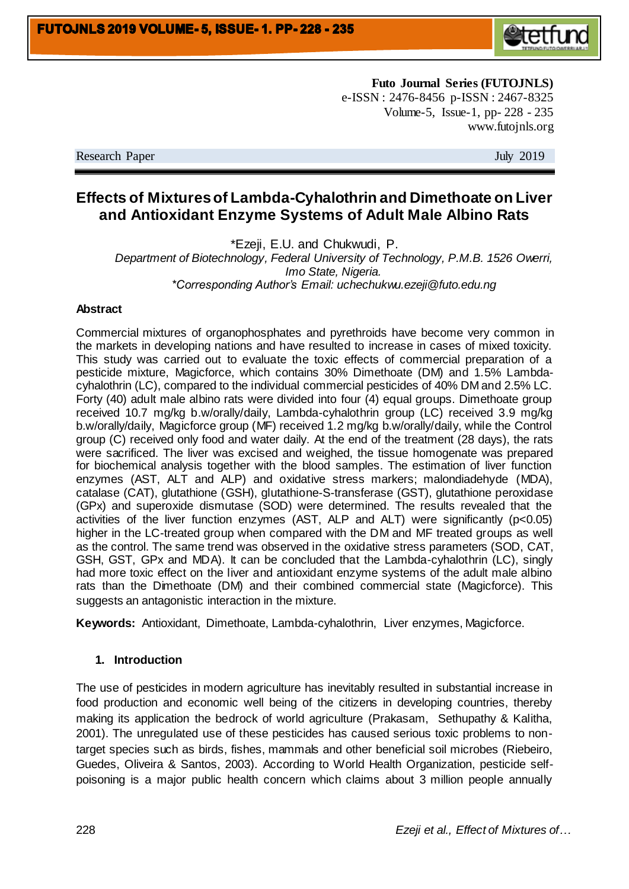

**Futo Journal Series (FUTOJNLS)** e-ISSN : 2476-8456 p-ISSN : 2467-8325 Volume-5, Issue-1, pp- 228 - 235 www.futojnls.org

Research Paper July 2019

# **Effects of Mixtures of Lambda-Cyhalothrin and Dimethoate on Liver and Antioxidant Enzyme Systems of Adult Male Albino Rats**

\*Ezeji, E.U. and Chukwudi, P. *Department of Biotechnology, Federal University of Technology, P.M.B. 1526 Owerri, Imo State, Nigeria. \*Corresponding Author's Email: uchechukwu.ezeji@futo.edu.ng*

#### **Abstract**

Commercial mixtures of organophosphates and pyrethroids have become very common in the markets in developing nations and have resulted to increase in cases of mixed toxicity. This study was carried out to evaluate the toxic effects of commercial preparation of a pesticide mixture, Magicforce, which contains 30% Dimethoate (DM) and 1.5% Lambdacyhalothrin (LC), compared to the individual commercial pesticides of 40% DM and 2.5% LC. Forty (40) adult male albino rats were divided into four (4) equal groups. Dimethoate group received 10.7 mg/kg b.w/orally/daily, Lambda-cyhalothrin group (LC) received 3.9 mg/kg b.w/orally/daily, Magicforce group (MF) received 1.2 mg/kg b.w/orally/daily, while the Control group (C) received only food and water daily. At the end of the treatment (28 days), the rats were sacrificed. The liver was excised and weighed, the tissue homogenate was prepared for biochemical analysis together with the blood samples. The estimation of liver function enzymes (AST, ALT and ALP) and oxidative stress markers; malondiadehyde (MDA), catalase (CAT), glutathione (GSH), glutathione-S-transferase (GST), glutathione peroxidase (GPx) and superoxide dismutase (SOD) were determined. The results revealed that the activities of the liver function enzymes (AST, ALP and ALT) were significantly (p<0.05) higher in the LC-treated group when compared with the DM and MF treated groups as well as the control. The same trend was observed in the oxidative stress parameters (SOD, CAT, GSH, GST, GPx and MDA). It can be concluded that the Lambda-cyhalothrin (LC), singly had more toxic effect on the liver and antioxidant enzyme systems of the adult male albino rats than the Dimethoate (DM) and their combined commercial state (Magicforce). This suggests an antagonistic interaction in the mixture.

**Keywords:** Antioxidant, Dimethoate, Lambda-cyhalothrin, Liver enzymes, Magicforce.

#### **1. Introduction**

The use of pesticides in modern agriculture has inevitably resulted in substantial increase in food production and economic well being of the citizens in developing countries, thereby making its application the bedrock of world agriculture (Prakasam, Sethupathy & Kalitha, 2001). The unregulated use of these pesticides has caused serious toxic problems to nontarget species such as birds, fishes, mammals and other beneficial soil microbes (Riebeiro, Guedes, Oliveira & Santos, 2003). According to World Health Organization, pesticide selfpoisoning is a major public health concern which claims about 3 million people annually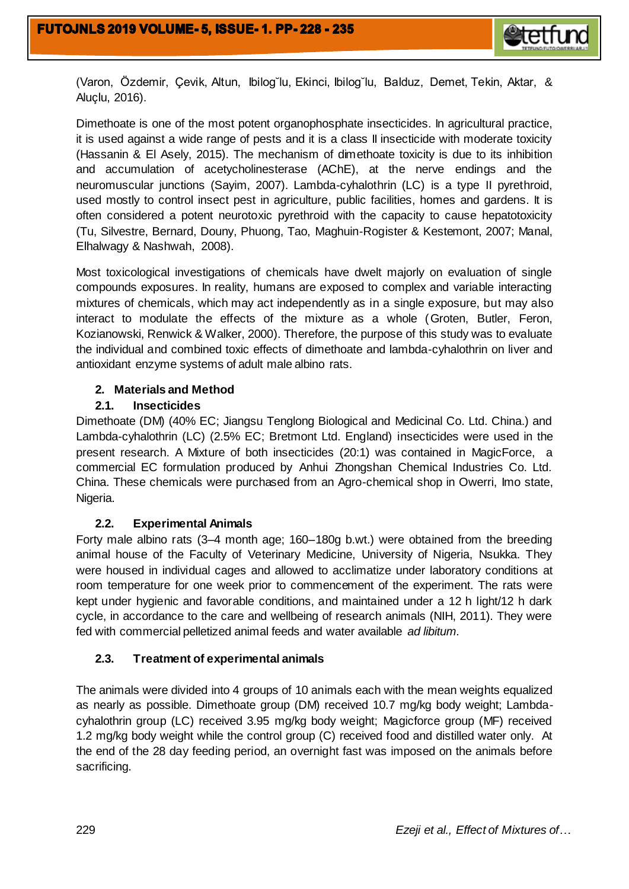

(Varon, Özdemir, Çevik, Altun, Ibilog˘lu, Ekinci, Ibilog˘lu, Balduz, Demet, Tekin, Aktar, & Aluçlu, 2016).

Dimethoate is one of the most potent organophosphate insecticides. In agricultural practice, it is used against a wide range of pests and it is a class II insecticide with moderate toxicity (Hassanin & El Asely, 2015). The mechanism of dimethoate toxicity is due to its inhibition and accumulation of acetycholinesterase (AChE), at the nerve endings and the neuromuscular junctions (Sayim, 2007). Lambda-cyhalothrin (LC) is a type II pyrethroid, used mostly to control insect pest in agriculture, public facilities, homes and gardens. It is often considered a potent neurotoxic pyrethroid with the capacity to cause hepatotoxicity (Tu, Silvestre, Bernard, Douny, Phuong, Tao, Maghuin-Rogister & Kestemont, 2007; Manal, Elhalwagy & Nashwah, 2008).

Most toxicological investigations of chemicals have dwelt majorly on evaluation of single compounds exposures. In reality, humans are exposed to complex and variable interacting mixtures of chemicals, which may act independently as in a single exposure, but may also interact to modulate the effects of the mixture as a whole (Groten, Butler, Feron, Kozianowski, Renwick & Walker, 2000). Therefore, the purpose of this study was to evaluate the individual and combined toxic effects of dimethoate and lambda-cyhalothrin on liver and antioxidant enzyme systems of adult male albino rats.

# **2. Materials and Method**

# **2.1. Insecticides**

Dimethoate (DM) (40% EC; Jiangsu Tenglong Biological and Medicinal Co. Ltd. China.) and Lambda-cyhalothrin (LC) (2.5% EC; Bretmont Ltd. England) insecticides were used in the present research. A Mixture of both insecticides (20:1) was contained in MagicForce, a commercial EC formulation produced by Anhui Zhongshan Chemical Industries Co. Ltd. China. These chemicals were purchased from an Agro-chemical shop in Owerri, Imo state, Nigeria.

# **2.2. Experimental Animals**

Forty male albino rats (3–4 month age; 160–180g b.wt.) were obtained from the breeding animal house of the Faculty of Veterinary Medicine, University of Nigeria, Nsukka. They were housed in individual cages and allowed to acclimatize under laboratory conditions at room temperature for one week prior to commencement of the experiment. The rats were kept under hygienic and favorable conditions, and maintained under a 12 h light/12 h dark cycle, in accordance to the care and wellbeing of research animals (NIH, 2011). They were fed with commercial pelletized animal feeds and water available *ad libitum.*

# **2.3. Treatment of experimental animals**

The animals were divided into 4 groups of 10 animals each with the mean weights equalized as nearly as possible. Dimethoate group (DM) received 10.7 mg/kg body weight; Lambdacyhalothrin group (LC) received 3.95 mg/kg body weight; Magicforce group (MF) received 1.2 mg/kg body weight while the control group (C) received food and distilled water only. At the end of the 28 day feeding period, an overnight fast was imposed on the animals before sacrificing.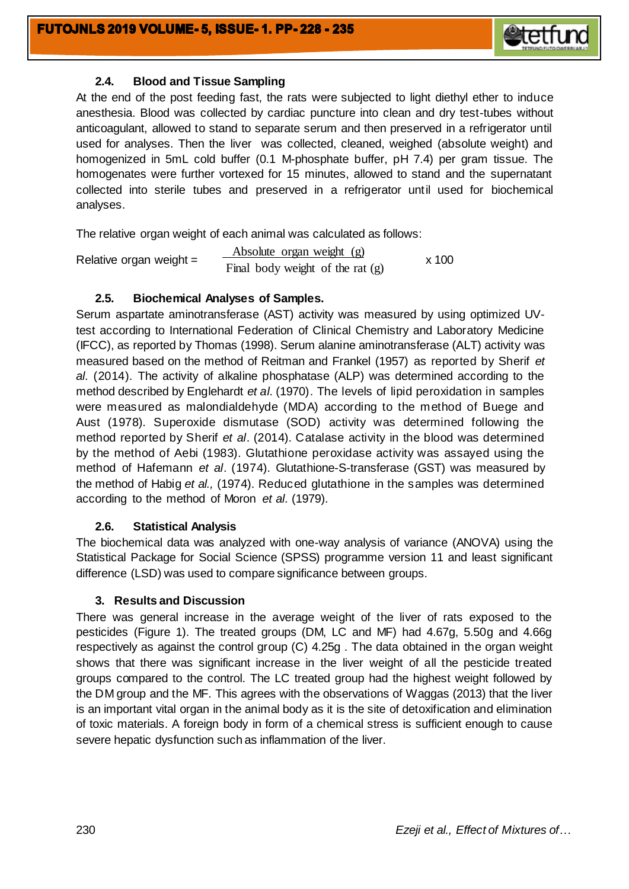

### **2.4. Blood and Tissue Sampling**

At the end of the post feeding fast, the rats were subjected to light diethyl ether to induce anesthesia. Blood was collected by cardiac puncture into clean and dry test-tubes without anticoagulant, allowed to stand to separate serum and then preserved in a refrigerator until used for analyses. Then the liver was collected, cleaned, weighed (absolute weight) and homogenized in 5mL cold buffer (0.1 M-phosphate buffer, pH 7.4) per gram tissue. The homogenates were further vortexed for 15 minutes, allowed to stand and the supernatant collected into sterile tubes and preserved in a refrigerator until used for biochemical analyses.

The relative organ weight of each animal was calculated as follows:

Relative organ weight = x 100 Absolute organ weight (g) Final body weight of the rat (g)

### **2.5. Biochemical Analyses of Samples.**

Serum aspartate aminotransferase (AST) activity was measured by using optimized UVtest according to International Federation of Clinical Chemistry and Laboratory Medicine (IFCC), as reported by Thomas (1998). Serum alanine aminotransferase (ALT) activity was measured based on the method of Reitman and Frankel (1957) as reported by Sherif *et al*. (2014). The activity of alkaline phosphatase (ALP) was determined according to the method described by Englehardt *et al*. (1970). The levels of lipid peroxidation in samples were measured as malondialdehyde (MDA) according to the method of Buege and Aust (1978). Superoxide dismutase (SOD) activity was determined following the method reported by Sherif *et al*. (2014). Catalase activity in the blood was determined by the method of Aebi (1983). Glutathione peroxidase activity was assayed using the method of Hafemann *et al*. (1974). Glutathione-S-transferase (GST) was measured by the method of Habig *et al.,* (1974). Reduced glutathione in the samples was determined according to the method of Moron *et al*. (1979).

# **2.6. Statistical Analysis**

The biochemical data was analyzed with one-way analysis of variance (ANOVA) using the Statistical Package for Social Science (SPSS) programme version 11 and least significant difference (LSD) was used to compare significance between groups.

#### **3. Results and Discussion**

There was general increase in the average weight of the liver of rats exposed to the pesticides (Figure 1). The treated groups (DM, LC and MF) had 4.67g, 5.50g and 4.66g respectively as against the control group (C) 4.25g . The data obtained in the organ weight shows that there was significant increase in the liver weight of all the pesticide treated groups compared to the control. The LC treated group had the highest weight followed by the DM group and the MF. This agrees with the observations of Waggas (2013) that the liver is an important vital organ in the animal body as it is the site of detoxification and elimination of toxic materials. A foreign body in form of a chemical stress is sufficient enough to cause severe hepatic dysfunction such as inflammation of the liver.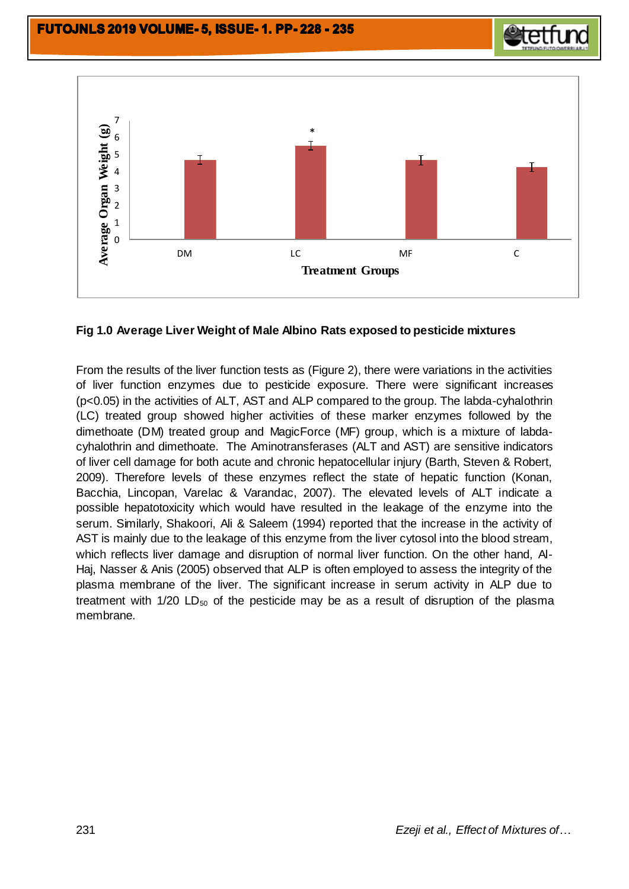

# **Fig 1.0 Average Liver Weight of Male Albino Rats exposed to pesticide mixtures**

From the results of the liver function tests as (Figure 2), there were variations in the activities of liver function enzymes due to pesticide exposure. There were significant increases (p<0.05) in the activities of ALT, AST and ALP compared to the group. The labda-cyhalothrin (LC) treated group showed higher activities of these marker enzymes followed by the dimethoate (DM) treated group and MagicForce (MF) group, which is a mixture of labdacyhalothrin and dimethoate. The Aminotransferases (ALT and AST) are sensitive indicators of liver cell damage for both acute and chronic hepatocellular injury (Barth, Steven & Robert, 2009). Therefore levels of these enzymes reflect the state of hepatic function (Konan, Bacchia, Lincopan, Varelac & Varandac, 2007). The elevated levels of ALT indicate a possible hepatotoxicity which would have resulted in the leakage of the enzyme into the serum. Similarly, Shakoori, Ali & Saleem (1994) reported that the increase in the activity of AST is mainly due to the leakage of this enzyme from the liver cytosol into the blood stream, which reflects liver damage and disruption of normal liver function. On the other hand, Al-Haj, Nasser & Anis (2005) observed that ALP is often employed to assess the integrity of the plasma membrane of the liver. The significant increase in serum activity in ALP due to treatment with  $1/20$  LD<sub>50</sub> of the pesticide may be as a result of disruption of the plasma membrane.

**etetfun**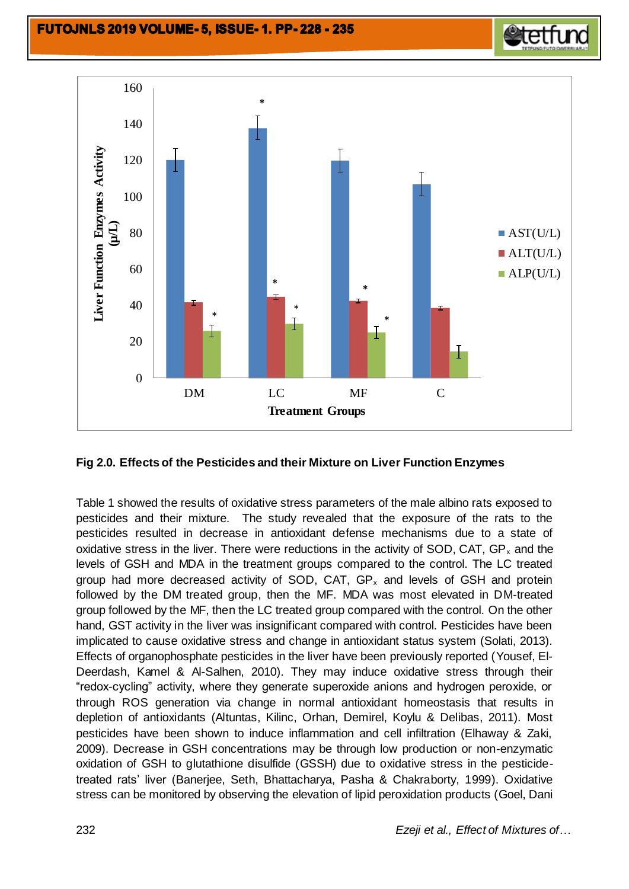

# **Fig 2.0. Effects of the Pesticides and their Mixture on Liver Function Enzymes**

Table 1 showed the results of oxidative stress parameters of the male albino rats exposed to pesticides and their mixture. The study revealed that the exposure of the rats to the pesticides resulted in decrease in antioxidant defense mechanisms due to a state of oxidative stress in the liver. There were reductions in the activity of SOD, CAT,  $GP_x$  and the levels of GSH and MDA in the treatment groups compared to the control. The LC treated group had more decreased activity of SOD, CAT,  $GP_x$  and levels of GSH and protein followed by the DM treated group, then the MF. MDA was most elevated in DM-treated group followed by the MF, then the LC treated group compared with the control. On the other hand, GST activity in the liver was insignificant compared with control. Pesticides have been implicated to cause oxidative stress and change in antioxidant status system (Solati, 2013). Effects of organophosphate pesticides in the liver have been previously reported (Yousef, El-Deerdash, Kamel & Al-Salhen, 2010). They may induce oxidative stress through their "redox-cycling" activity, where they generate superoxide anions and hydrogen peroxide, or through ROS generation via change in normal antioxidant homeostasis that results in depletion of antioxidants (Altuntas, Kilinc, Orhan, Demirel, Koylu & Delibas, 2011). Most pesticides have been shown to induce inflammation and cell infiltration (Elhaway & Zaki, 2009). Decrease in GSH concentrations may be through low production or non-enzymatic oxidation of GSH to glutathione disulfide (GSSH) due to oxidative stress in the pesticidetreated rats' liver (Banerjee, Seth, Bhattacharya, Pasha & Chakraborty, 1999). Oxidative stress can be monitored by observing the elevation of lipid peroxidation products (Goel, Dani

**etetfund**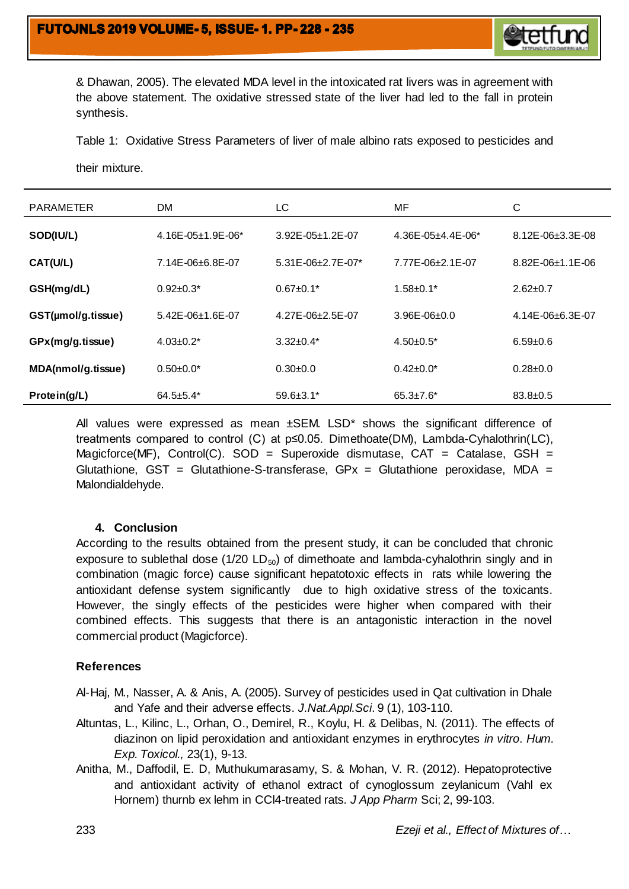

& Dhawan, 2005). The elevated MDA level in the intoxicated rat livers was in agreement with the above statement. The oxidative stressed state of the liver had led to the fall in protein synthesis.

Table 1: Oxidative Stress Parameters of liver of male albino rats exposed to pesticides and

their mixture.

| <b>PARAMETER</b>   | <b>DM</b>                 | LC                         | MF                        | C                        |
|--------------------|---------------------------|----------------------------|---------------------------|--------------------------|
| SOD(IU/L)          | $4.16E - 05 + 1.9E - 06*$ | $3.92E - 05 + 1.2E - 07$   | $4.36E - 05 + 4.4E - 06*$ | $8.12E - 06 + 3.3E - 08$ |
| CAT(U/L)           | $7.14E - 06 + 6.8E - 07$  | $5.31E - 06 + 2.7E - 07$ * | $7.77E - 06 + 2.1E - 07$  | $8.82E - 06 + 1.1E - 06$ |
| GSH(mg/dL)         | $0.92 \pm 0.3^*$          | $0.67 \pm 0.1^*$           | $1.58 \pm 0.1*$           | $2.62 \pm 0.7$           |
| GST(µmol/g.tissue) | $5.42E - 06 + 1.6E - 07$  | $4.27E - 06 + 2.5E - 07$   | $3.96E - 06 + 0.0$        | $4.14E - 06 + 6.3E - 07$ |
| GPx(mg/g.tissue)   | $4.03 \pm 0.2^*$          | $3.32+0.4*$                | $4.50+0.5^*$              | $6.59 \pm 0.6$           |
| MDA(nmol/g.tissue) | $0.50+0.0*$               | $0.30+0.0$                 | $0.42 \pm 0.0^*$          | $0.28 \pm 0.0$           |
| Protein(g/L)       | $64.5 + 5.4*$             | $59.6 \pm 3.1^*$           | $65.3 \pm 7.6^*$          | $83.8 \pm 0.5$           |

All values were expressed as mean  $\pm$ SEM. LSD\* shows the significant difference of treatments compared to control (C) at p≤0.05. Dimethoate(DM), Lambda-Cyhalothrin(LC), Magicforce(MF), Control(C). SOD = Superoxide dismutase, CAT = Catalase, GSH = Glutathione,  $GST = Glutathione-S-transferase$ ,  $GPx = Glutathione peroxidase$ ,  $MDA =$ Malondialdehyde.

#### **4. Conclusion**

According to the results obtained from the present study, it can be concluded that chronic exposure to sublethal dose ( $1/20$  LD<sub>50</sub>) of dimethoate and lambda-cyhalothrin singly and in combination (magic force) cause significant hepatotoxic effects in rats while lowering the antioxidant defense system significantly due to high oxidative stress of the toxicants. However, the singly effects of the pesticides were higher when compared with their combined effects. This suggests that there is an antagonistic interaction in the novel commercial product (Magicforce).

#### **References**

Al-Haj, M., Nasser, A. & Anis, A. (2005). Survey of pesticides used in Qat cultivation in Dhale and Yafe and their adverse effects. *J.Nat.Appl.Sci*. 9 (1), 103-110.

- Altuntas, L., Kilinc, L., Orhan, O., Demirel, R., Koylu, H. & Delibas, N. (2011). The effects of diazinon on lipid peroxidation and antioxidant enzymes in erythrocytes *in vitro*. *Hum. Exp. Toxicol.,* 23(1), 9-13.
- Anitha, M., Daffodil, E. D, Muthukumarasamy, S. & Mohan, V. R. (2012). Hepatoprotective and antioxidant activity of ethanol extract of cynoglossum zeylanicum (Vahl ex Hornem) thurnb ex lehm in CCl4-treated rats*. J App Pharm* Sci; 2, 99-103.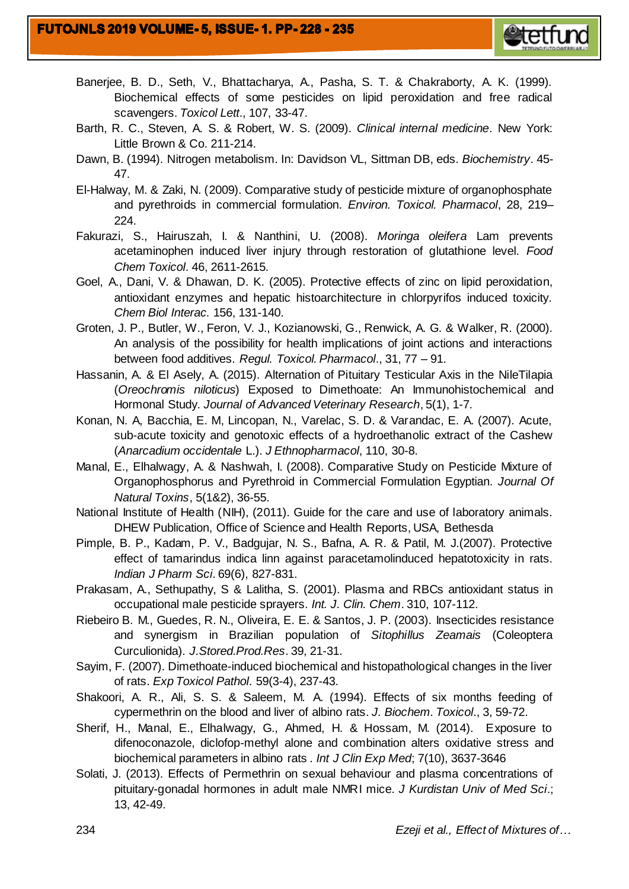

- Banerjee, B. D., Seth, V., Bhattacharya, A., Pasha, S. T. & Chakraborty, A. K. (1999). Biochemical effects of some pesticides on lipid peroxidation and free radical scavengers. *Toxicol Lett*., 107, 33-47.
- Barth, R. C., Steven, A. S. & Robert, W. S. (2009). *Clinical internal medicine*. New York: Little Brown & Co. 211-214.
- Dawn, B. (1994). Nitrogen metabolism. In: Davidson VL, Sittman DB, eds. *Biochemistry*. 45- 47.
- El-Halway, M. & Zaki, N. (2009). Comparative study of pesticide mixture of organophosphate and pyrethroids in commercial formulation. *Environ. Toxicol. Pharmacol*, 28, 219– 224.
- Fakurazi, S., Hairuszah, I. & Nanthini, U. (2008). *Moringa oleifera* Lam prevents acetaminophen induced liver injury through restoration of glutathione level. *Food Chem Toxicol*. 46, 2611-2615.
- Goel, A., Dani, V. & Dhawan, D. K. (2005). Protective effects of zinc on lipid peroxidation, antioxidant enzymes and hepatic histoarchitecture in chlorpyrifos induced toxicity. *Chem Biol Interac.* 156, 131-140.
- Groten, J. P., Butler, W., Feron, V. J., Kozianowski, G., Renwick, A. G. & Walker, R. (2000). An analysis of the possibility for health implications of joint actions and interactions between food additives. *Regul. Toxicol. Pharmacol*., 31, 77 – 91.
- Hassanin, A. & El Asely, A. (2015). Alternation of Pituitary Testicular Axis in the NileTilapia (*Oreochromis niloticus*) Exposed to Dimethoate: An Immunohistochemical and Hormonal Study. *Journal of Advanced Veterinary Research*, 5(1), 1-7.
- Konan, N. A, Bacchia, E. M, Lincopan, N., Varelac, S. D. & Varandac, E. A. (2007). Acute, sub-acute toxicity and genotoxic effects of a hydroethanolic extract of the Cashew (*Anarcadium occidentale* L.). *J Ethnopharmacol*, 110, 30-8.
- Manal, E., Elhalwagy, A. & Nashwah, I. (2008). Comparative Study on Pesticide Mixture of Organophosphorus and Pyrethroid in Commercial Formulation Egyptian. *Journal Of Natural Toxins*, 5(1&2), 36-55.
- National Institute of Health (NIH), (2011). Guide for the care and use of laboratory animals. DHEW Publication, Office of Science and Health Reports, USA, Bethesda
- Pimple, B. P., Kadam, P. V., Badgujar, N. S., Bafna, A. R. & Patil, M. J.(2007). Protective effect of tamarindus indica linn against paracetamolinduced hepatotoxicity in rats. *Indian J Pharm Sci*. 69(6), 827-831.
- Prakasam, A., Sethupathy, S & Lalitha, S. (2001). Plasma and RBCs antioxidant status in occupational male pesticide sprayers. *Int. J. Clin. Chem*. 310, 107-112.
- Riebeiro B. M., Guedes, R. N., Oliveira, E. E. & Santos, J. P. (2003). Insecticides resistance and synergism in Brazilian population of *Sitophillus Zeamais* (Coleoptera Curculionida). *J.Stored.Prod.Res*. 39, 21-31.
- Sayim, F. (2007). Dimethoate-induced biochemical and histopathological changes in the liver of rats. *Exp Toxicol Pathol*. 59(3-4), 237-43.
- Shakoori, A. R., Ali, S. S. & Saleem, M. A. (1994). Effects of six months feeding of cypermethrin on the blood and liver of albino rats. *J. Biochem. Toxicol*., 3, 59-72.
- Sherif, H., Manal, E., Elhalwagy, G., Ahmed, H. & Hossam, M. (2014). Exposure to difenoconazole, diclofop-methyl alone and combination alters oxidative stress and biochemical parameters in albino rats . *Int J Clin Exp Med*; 7(10), 3637-3646
- Solati, J. (2013). Effects of Permethrin on sexual behaviour and plasma concentrations of pituitary-gonadal hormones in adult male NMRI mice. *J Kurdistan Univ of Med Sci*.; 13, 42-49.